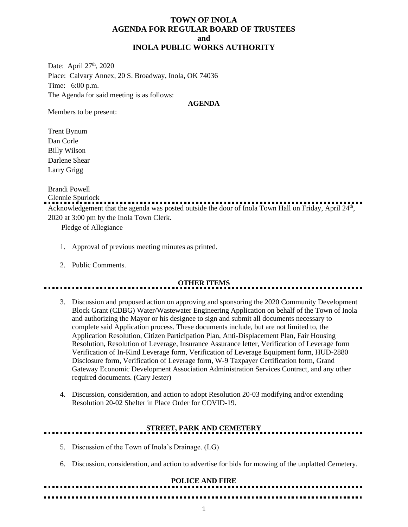## **TOWN OF INOLA AGENDA FOR REGULAR BOARD OF TRUSTEES and INOLA PUBLIC WORKS AUTHORITY**

Date: April 27<sup>th</sup>, 2020 Place: Calvary Annex, 20 S. Broadway, Inola, OK 74036 Time: 6:00 p.m. The Agenda for said meeting is as follows:

### **AGENDA**

Members to be present:

Trent Bynum Dan Corle Billy Wilson Darlene Shear Larry Grigg

Brandi Powell

Glennie Spurlock

......................... Acknowledgement that the agenda was posted outside the door of Inola Town Hall on Friday, April 24<sup>th</sup>, 2020 at 3:00 pm by the Inola Town Clerk.

Pledge of Allegiance

- 1. Approval of previous meeting minutes as printed.
- 2. Public Comments.

## **OTHER ITEMS**

- 3. Discussion and proposed action on approving and sponsoring the 2020 Community Development Block Grant (CDBG) Water/Wastewater Engineering Application on behalf of the Town of Inola and authorizing the Mayor or his designee to sign and submit all documents necessary to complete said Application process. These documents include, but are not limited to, the Application Resolution, Citizen Participation Plan, Anti-Displacement Plan, Fair Housing Resolution, Resolution of Leverage, Insurance Assurance letter, Verification of Leverage form Verification of In-Kind Leverage form, Verification of Leverage Equipment form, HUD-2880 Disclosure form, Verification of Leverage form, W-9 Taxpayer Certification form, Grand Gateway Economic Development Association Administration Services Contract, and any other required documents. (Cary Jester)
- 4. Discussion, consideration, and action to adopt Resolution 20-03 modifying and/or extending Resolution 20-02 Shelter in Place Order for COVID-19.

# **STREET, PARK AND CEMETERY**

- 5. Discussion of the Town of Inola's Drainage. (LG)
- 6. Discussion, consideration, and action to advertise for bids for mowing of the unplatted Cemetery.

#### **POLICE AND FIRE**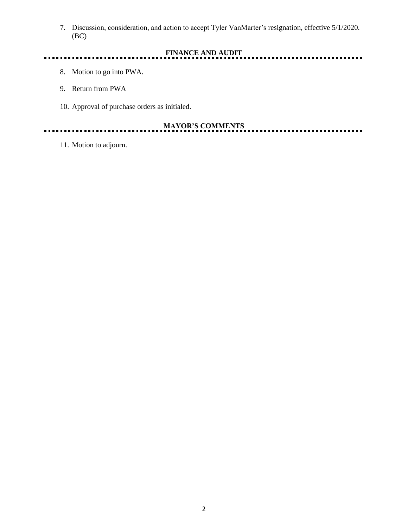7. Discussion, consideration, and action to accept Tyler VanMarter's resignation, effective 5/1/2020. (BC)

#### **FINANCE AND AUDIT**  $\frac{1}{2}$  .  $\frac{1}{2}$  .  $\frac{1}{2}$ ............ ........................

- 8. Motion to go into PWA.
- 9. Return from PWA
- 10. Approval of purchase orders as initialed.

## **MAYOR'S COMMENTS**

. . .

11. Motion to adjourn.